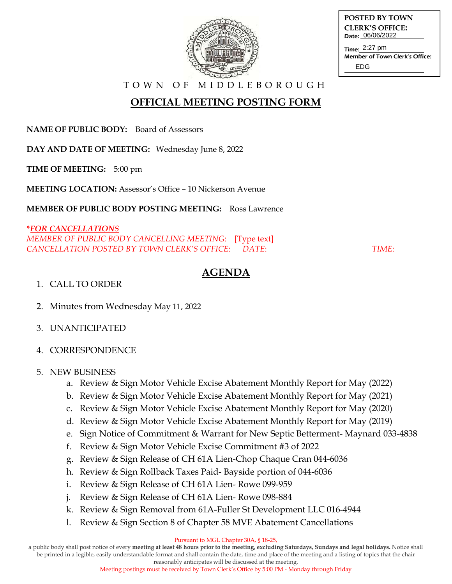

| POSTED BY TOWN         |
|------------------------|
| <b>CLERK'S OFFICE:</b> |
| Date: 06/06/2022       |
|                        |

Time: 2:27 pm Member of Town Clerk's Office: EDG

T O W N O F M I D D L E B O R O U G H

# **OFFICIAL MEETING POSTING FORM**

**NAME OF PUBLIC BODY:** Board of Assessors

**DAY AND DATE OF MEETING:** Wednesday June 8, 2022

**TIME OF MEETING:** 5:00 pm

**MEETING LOCATION:** Assessor's Office – 10 Nickerson Avenue

**MEMBER OF PUBLIC BODY POSTING MEETING:** Ross Lawrence

#### **\****FOR CANCELLATIONS*

*MEMBER OF PUBLIC BODY CANCELLING MEETING*: [Type text] *CANCELLATION POSTED BY TOWN CLERK'S OFFICE*: *DATE*: *TIME*:

## **AGENDA**

#### 1. CALL TO ORDER

- 2. Minutes from Wednesday May 11, 2022
- 3. UNANTICIPATED
- 4. CORRESPONDENCE

### 5. NEW BUSINESS

- a. Review & Sign Motor Vehicle Excise Abatement Monthly Report for May (2022)
- b. Review & Sign Motor Vehicle Excise Abatement Monthly Report for May (2021)
- c. Review & Sign Motor Vehicle Excise Abatement Monthly Report for May (2020)
- d. Review & Sign Motor Vehicle Excise Abatement Monthly Report for May (2019)
- e. Sign Notice of Commitment & Warrant for New Septic Betterment- Maynard 033-4838
- f. Review & Sign Motor Vehicle Excise Commitment #3 of 2022
- g. Review & Sign Release of CH 61A Lien-Chop Chaque Cran 044-6036
- h. Review & Sign Rollback Taxes Paid- Bayside portion of 044-6036
- i. Review & Sign Release of CH 61A Lien- Rowe 099-959
- j. Review & Sign Release of CH 61A Lien- Rowe 098-884
- k. Review & Sign Removal from 61A-Fuller St Development LLC 016-4944
- l. Review & Sign Section 8 of Chapter 58 MVE Abatement Cancellations

Pursuant to MGL Chapter 30A, § 18-25,

a public body shall post notice of every **meeting at least 48 hours prior to the meeting, excluding Saturdays, Sundays and legal holidays.** Notice shall be printed in a legible, easily understandable format and shall contain the date, time and place of the meeting and a listing of topics that the chair

reasonably anticipates will be discussed at the meeting.